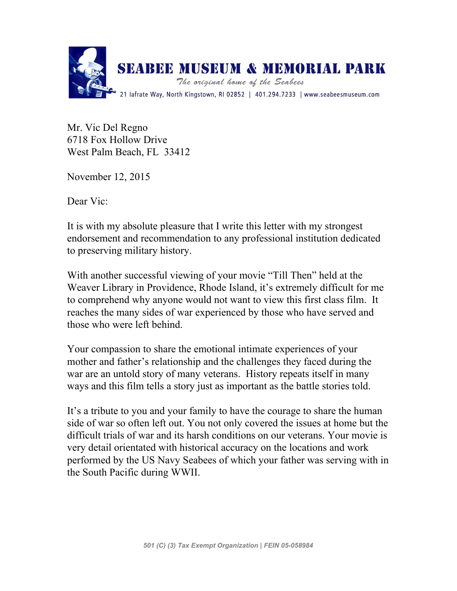

Mr. Vic Del Regno 6718 Fox Hollow Drive West Palm Beach, FL 33412

November 12, 2015

Dear Vic:

It is with my absolute pleasure that I write this letter with my strongest endorsement and recommendation to any professional institution dedicated to preserving military history.

With another successful viewing of your movie "Till Then" held at the Weaver Library in Providence, Rhode Island, it's extremely difficult for me to comprehend why anyone would not want to view this first class film. It reaches the many sides of war experienced by those who have served and those who were left behind.

Your compassion to share the emotional intimate experiences of your mother and father's relationship and the challenges they faced during the war are an untold story of many veterans. History repeats itself in many ways and this film tells a story just as important as the battle stories told.

It's a tribute to you and your family to have the courage to share the human side of war so often left out. You not only covered the issues at home but the difficult trials of war and its harsh conditions on our veterans. Your movie is very detail orientated with historical accuracy on the locations and work performed by the US Navy Seabees of which your father was serving with in the South Pacific during WWII.